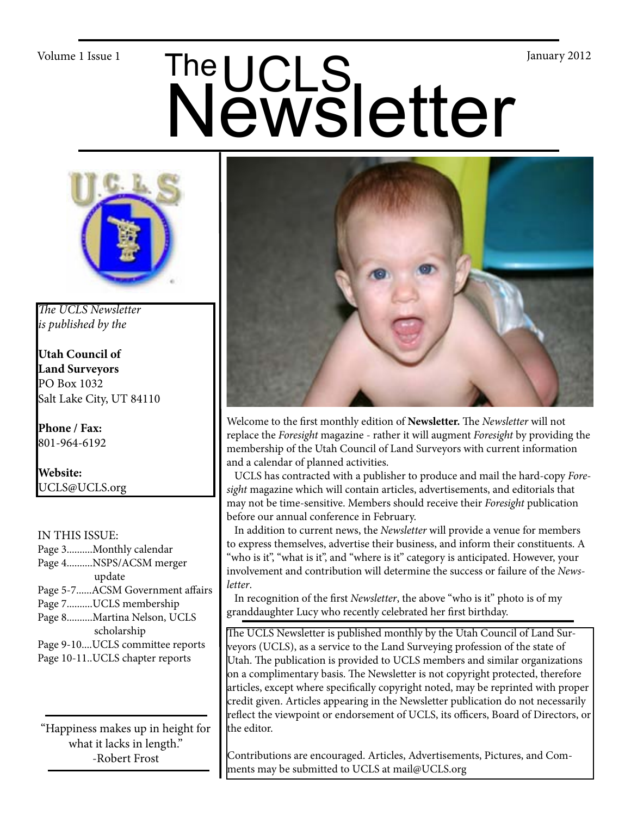# Volume 1 Issue 1<br>
Newsletter



*The UCLS Newsletter is published by the*

**Utah Council of Land Surveyors** PO Box 1032 Salt Lake City, UT 84110

**Phone / Fax:**  801-964-6192

**Website:** UCLS@UCLS.org

# IN THIS ISSUE:

Page 3..........Monthly calendar Page 4..........NSPS/ACSM merger update Page 5-7......ACSM Government affairs Page 7..........UCLS membership Page 8..........Martina Nelson, UCLS scholarship Page 9-10....UCLS committee reports Page 10-11..UCLS chapter reports

"Happiness makes up in height for what it lacks in length." -Robert Frost



Welcome to the first monthly edition of **Newsletter.** The *Newsletter* will not replace the *Foresight* magazine - rather it will augment *Foresight* by providing the membership of the Utah Council of Land Surveyors with current information and a calendar of planned activities.

 UCLS has contracted with a publisher to produce and mail the hard-copy *Foresight* magazine which will contain articles, advertisements, and editorials that may not be time-sensitive. Members should receive their *Foresight* publication before our annual conference in February.

 In addition to current news, the *Newsletter* will provide a venue for members to express themselves, advertise their business, and inform their constituents. A "who is it", "what is it", and "where is it" category is anticipated. However, your involvement and contribution will determine the success or failure of the *Newsletter*.

 In recognition of the first *Newsletter*, the above "who is it" photo is of my granddaughter Lucy who recently celebrated her first birthday.

The UCLS Newsletter is published monthly by the Utah Council of Land Surveyors (UCLS), as a service to the Land Surveying profession of the state of Utah. The publication is provided to UCLS members and similar organizations on a complimentary basis. The Newsletter is not copyright protected, therefore articles, except where specifically copyright noted, may be reprinted with proper credit given. Articles appearing in the Newsletter publication do not necessarily reflect the viewpoint or endorsement of UCLS, its officers, Board of Directors, or the editor.

Contributions are encouraged. Articles, Advertisements, Pictures, and Comments may be submitted to UCLS at mail@UCLS.org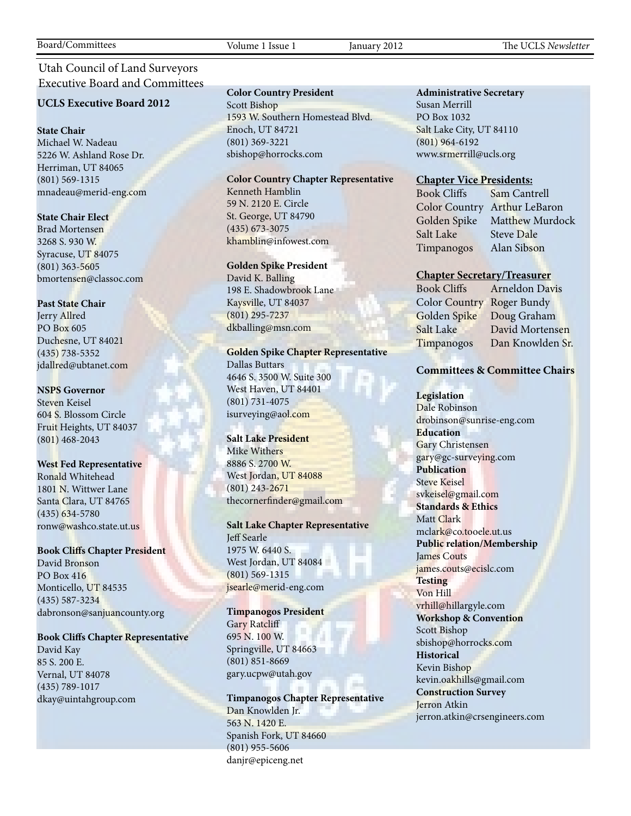# Utah Council of Land Surveyors Executive Board and Committees

#### **UCLS Executive Board 2012**

#### **State Chair**

Michael W. Nadeau 5226 W. Ashland Rose Dr. Herriman, UT 84065 (801) 569-1315 mnadeau@merid-eng.com

#### **State Chair Elect**

Brad Mortensen 3268 S. 930 W. Syracuse, UT 84075 (801) 363-5605 bmortensen@classoc.com

#### **Past State Chair**

Jerry Allred PO Box 605 Duchesne, UT 84021 (435) 738-5352 jdallred@ubtanet.com

#### **NSPS Governor**

Steven Keisel 604 S. Blossom Circle Fruit Heights, UT 84037 (801) 468-2043

#### **West Fed Representative**

Ronald Whitehead 1801 N. Wittwer Lane Santa Clara, UT 84765 (435) 634-5780 ronw@washco.state.ut.us

#### **Book Cliffs Chapter President**

David Bronson PO Box 416 Monticello, UT 84535 (435) 587-3234 dabronson@sanjuancounty.org

# **Book Cliffs Chapter Representative**

David Kay 85 S. 200 E. Vernal, UT 84078 (435) 789-1017 dkay@uintahgroup.com

#### **Color Country President**

Scott Bishop 1593 W. Southern Homestead Blvd. Enoch, UT 84721 (801) 369-3221 sbishop@horrocks.com

#### **Color Country Chapter Representative**

Kenneth Hamblin 59 N. 2120 E. Circle St. George, UT 84790 (435) 673-3075 khamblin@infowest.com

#### **Golden Spike President**

David K. Balling 198 E. Shadowbrook Lane Kaysville, UT 84037 (801) 295-7237 dkballing@msn.com

#### **Golden Spike Chapter Representative**

Dallas Buttars 4646 S. 3500 W. Suite 300 West Haven, UT 84401 (801) 731-4075 isurveying@aol.com

#### **Salt Lake President**

Mike Withers 8886 S. 2700 W. West Jordan, UT 84088 (801) 243-2671 thecornerfinder@gmail.com

#### **Salt Lake Chapter Representative** Jeff Searle 1975 W. 6440 S. West Jordan, UT 84084 (801) 569-1315 jsearle@merid-eng.com

**Timpanogos President** Gary Ratcliff 695 N. 100 W. Springville, UT 84663 (801) 851-8669 gary.ucpw@utah.gov

**Timpanogos Chapter Representative** Dan Knowlden Jr. 563 N. 1420 E. Spanish Fork, UT 84660 (801) 955-5606 danjr@epiceng.net

#### **Administrative Secretary**

Susan Merrill PO Box 1032 Salt Lake City, UT 84110 (801) 964-6192 www.srmerrill@ucls.org

#### **Chapter Vice Presidents:**

Salt Lake Steve Dale Timpanogos Alan Sibson

Book Cliffs Sam Cantrell Color Country Arthur LeBaron Golden Spike Matthew Murdock

#### **Chapter Secretary/Treasurer**

Book Cliffs Arneldon Davis Color Country Roger Bundy Golden Spike Doug Graham Salt Lake David Mortensen Timpanogos Dan Knowlden Sr.

#### **Committees & Committee Chairs**

**Legislation** Dale Robinson drobinson@sunrise-eng.com **Education** Gary Christensen gary@gc-surveying.com **Publication** Steve Keisel svkeisel@gmail.com **Standards & Ethics** Matt Clark mclark@co.tooele.ut.us **Public relation/Membership** James Couts james.couts@ecislc.com **Testing** Von Hill vrhill@hillargyle.com **Workshop & Convention** Scott Bishop sbishop@horrocks.com **Historical** Kevin Bishop kevin.oakhills@gmail.com **Construction Survey** Jerron Atkin jerron.atkin@crsengineers.com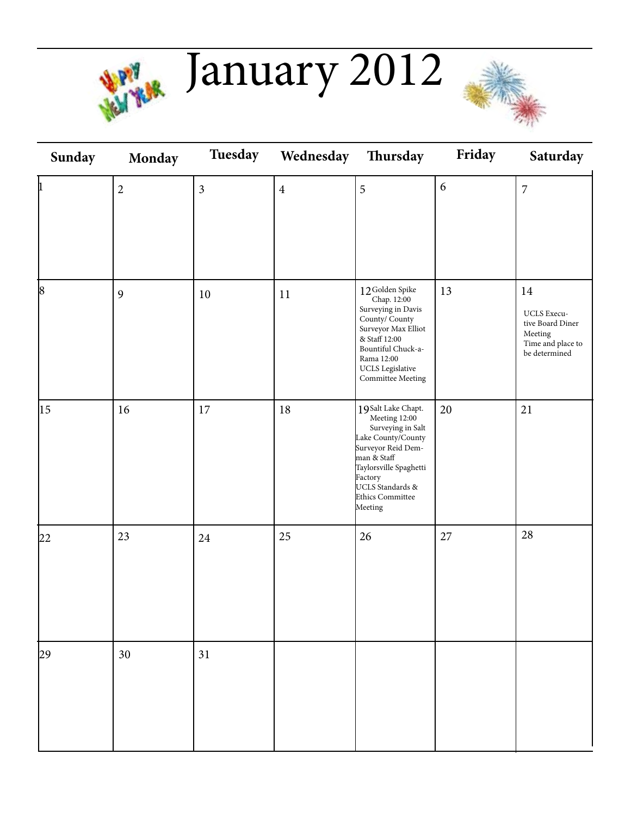

**January 2012** 



| Sunday    | Monday         | Tuesday        | Wednesday      | Thursday                                                                                                                                                                                                    | Friday | Saturday                                                                                       |
|-----------|----------------|----------------|----------------|-------------------------------------------------------------------------------------------------------------------------------------------------------------------------------------------------------------|--------|------------------------------------------------------------------------------------------------|
| þ         | $\sqrt{2}$     | $\mathfrak{Z}$ | $\overline{4}$ | 5                                                                                                                                                                                                           | 6      | $\overline{7}$                                                                                 |
| $\vert$ 8 | $\mathfrak{g}$ | 10             | 11             | 12Golden Spike<br>Chap. 12:00<br>Surveying in Davis<br>County/ County<br>Surveyor Max Elliot<br>& Staff 12:00<br>Bountiful Chuck-a-<br>Rama 12:00<br>UCLS Legislative<br>Committee Meeting                  | 13     | 14<br>UCLS Execu-<br>tive Board Diner<br>${\rm Meeting}$<br>Time and place to<br>be determined |
| 15        | 16             | 17             | $18\,$         | 19Salt Lake Chapt.<br>Meeting 12:00<br>Surveying in Salt<br>Lake County/County<br>Surveyor Reid Dem-<br>man & Staff<br>Taylorsville Spaghetti<br>Factory<br>UCLS Standards &<br>Ethics Committee<br>Meeting | 20     | 21                                                                                             |
| 22        | 23             | 24             | 25             | 26                                                                                                                                                                                                          | 27     | 28                                                                                             |
| 29        | 30             | 31             |                |                                                                                                                                                                                                             |        |                                                                                                |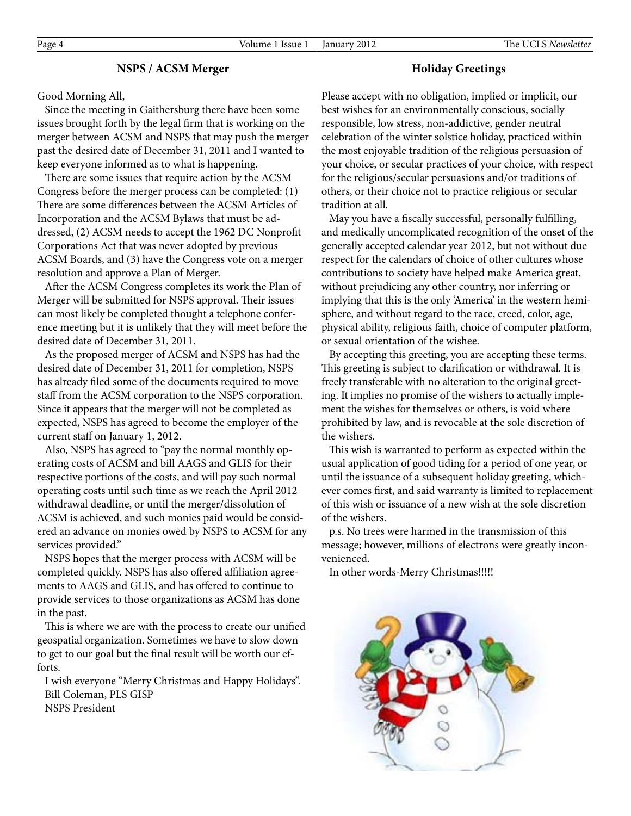# **NSPS / ACSM Merger**

Good Morning All,

 Since the meeting in Gaithersburg there have been some issues brought forth by the legal firm that is working on the merger between ACSM and NSPS that may push the merger past the desired date of December 31, 2011 and I wanted to keep everyone informed as to what is happening.

 There are some issues that require action by the ACSM Congress before the merger process can be completed: (1) There are some differences between the ACSM Articles of Incorporation and the ACSM Bylaws that must be addressed, (2) ACSM needs to accept the 1962 DC Nonprofit Corporations Act that was never adopted by previous ACSM Boards, and (3) have the Congress vote on a merger resolution and approve a Plan of Merger.

 After the ACSM Congress completes its work the Plan of Merger will be submitted for NSPS approval. Their issues can most likely be completed thought a telephone conference meeting but it is unlikely that they will meet before the desired date of December 31, 2011.

 As the proposed merger of ACSM and NSPS has had the desired date of December 31, 2011 for completion, NSPS has already filed some of the documents required to move staff from the ACSM corporation to the NSPS corporation. Since it appears that the merger will not be completed as expected, NSPS has agreed to become the employer of the current staff on January 1, 2012.

 Also, NSPS has agreed to "pay the normal monthly operating costs of ACSM and bill AAGS and GLIS for their respective portions of the costs, and will pay such normal operating costs until such time as we reach the April 2012 withdrawal deadline, or until the merger/dissolution of ACSM is achieved, and such monies paid would be considered an advance on monies owed by NSPS to ACSM for any services provided."

 NSPS hopes that the merger process with ACSM will be completed quickly. NSPS has also offered affiliation agreements to AAGS and GLIS, and has offered to continue to provide services to those organizations as ACSM has done in the past.

 This is where we are with the process to create our unified geospatial organization. Sometimes we have to slow down to get to our goal but the final result will be worth our efforts.

 I wish everyone "Merry Christmas and Happy Holidays". Bill Coleman, PLS GISP NSPS President

Please accept with no obligation, implied or implicit, our best wishes for an environmentally conscious, socially responsible, low stress, non-addictive, gender neutral celebration of the winter solstice holiday, practiced within the most enjoyable tradition of the religious persuasion of your choice, or secular practices of your choice, with respect for the religious/secular persuasions and/or traditions of others, or their choice not to practice religious or secular tradition at all.

**Holiday Greetings**

 May you have a fiscally successful, personally fulfilling, and medically uncomplicated recognition of the onset of the generally accepted calendar year 2012, but not without due respect for the calendars of choice of other cultures whose contributions to society have helped make America great, without prejudicing any other country, nor inferring or implying that this is the only 'America' in the western hemisphere, and without regard to the race, creed, color, age, physical ability, religious faith, choice of computer platform, or sexual orientation of the wishee.

 By accepting this greeting, you are accepting these terms. This greeting is subject to clarification or withdrawal. It is freely transferable with no alteration to the original greeting. It implies no promise of the wishers to actually implement the wishes for themselves or others, is void where prohibited by law, and is revocable at the sole discretion of the wishers.

 This wish is warranted to perform as expected within the usual application of good tiding for a period of one year, or until the issuance of a subsequent holiday greeting, whichever comes first, and said warranty is limited to replacement of this wish or issuance of a new wish at the sole discretion of the wishers.

 p.s. No trees were harmed in the transmission of this message; however, millions of electrons were greatly inconvenienced.

In other words-Merry Christmas!!!!!

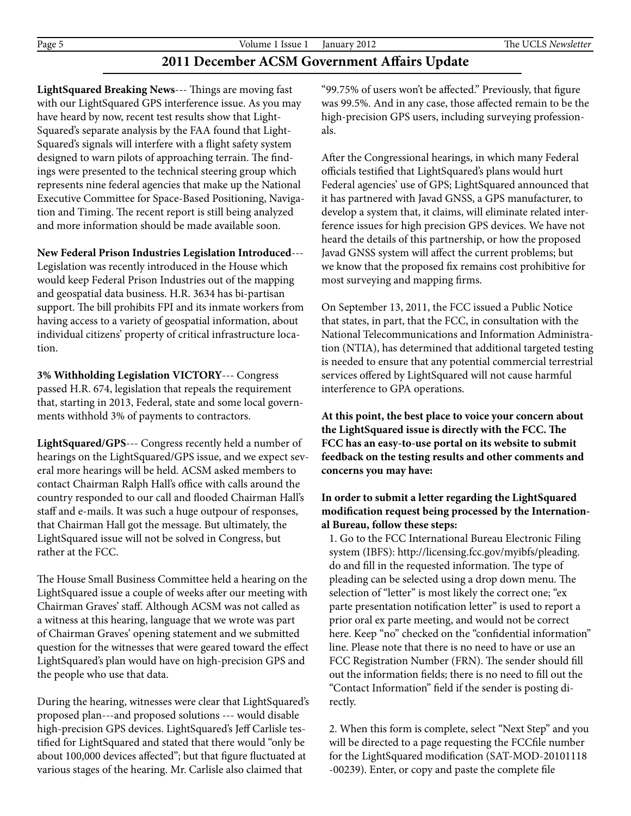# **2011 December ACSM Government Affairs Update**

**LightSquared Breaking News**--- Things are moving fast with our LightSquared GPS interference issue. As you may have heard by now, recent test results show that Light-Squared's separate analysis by the FAA found that Light-Squared's signals will interfere with a flight safety system designed to warn pilots of approaching terrain. The findings were presented to the technical steering group which represents nine federal agencies that make up the National Executive Committee for Space-Based Positioning, Navigation and Timing. The recent report is still being analyzed and more information should be made available soon.

#### **New Federal Prison Industries Legislation Introduced**---

Legislation was recently introduced in the House which would keep Federal Prison Industries out of the mapping and geospatial data business. H.R. 3634 has bi-partisan support. The bill prohibits FPI and its inmate workers from having access to a variety of geospatial information, about individual citizens' property of critical infrastructure location.

**3% Withholding Legislation VICTORY**--- Congress passed H.R. 674, legislation that repeals the requirement that, starting in 2013, Federal, state and some local governments withhold 3% of payments to contractors.

**LightSquared/GPS**--- Congress recently held a number of hearings on the LightSquared/GPS issue, and we expect several more hearings will be held. ACSM asked members to contact Chairman Ralph Hall's office with calls around the country responded to our call and flooded Chairman Hall's staff and e-mails. It was such a huge outpour of responses, that Chairman Hall got the message. But ultimately, the LightSquared issue will not be solved in Congress, but rather at the FCC.

The House Small Business Committee held a hearing on the LightSquared issue a couple of weeks after our meeting with Chairman Graves' staff. Although ACSM was not called as a witness at this hearing, language that we wrote was part of Chairman Graves' opening statement and we submitted question for the witnesses that were geared toward the effect LightSquared's plan would have on high-precision GPS and the people who use that data.

During the hearing, witnesses were clear that LightSquared's proposed plan---and proposed solutions --- would disable high-precision GPS devices. LightSquared's Jeff Carlisle testified for LightSquared and stated that there would "only be about 100,000 devices affected"; but that figure fluctuated at various stages of the hearing. Mr. Carlisle also claimed that

"99.75% of users won't be affected." Previously, that figure was 99.5%. And in any case, those affected remain to be the high-precision GPS users, including surveying professionals.

After the Congressional hearings, in which many Federal officials testified that LightSquared's plans would hurt Federal agencies' use of GPS; LightSquared announced that it has partnered with Javad GNSS, a GPS manufacturer, to develop a system that, it claims, will eliminate related interference issues for high precision GPS devices. We have not heard the details of this partnership, or how the proposed Javad GNSS system will affect the current problems; but we know that the proposed fix remains cost prohibitive for most surveying and mapping firms.

On September 13, 2011, the FCC issued a Public Notice that states, in part, that the FCC, in consultation with the National Telecommunications and Information Administration (NTIA), has determined that additional targeted testing is needed to ensure that any potential commercial terrestrial services offered by LightSquared will not cause harmful interference to GPA operations.

**At this point, the best place to voice your concern about the LightSquared issue is directly with the FCC. The FCC has an easy-to-use portal on its website to submit feedback on the testing results and other comments and concerns you may have:**

# **In order to submit a letter regarding the LightSquared modification request being processed by the International Bureau, follow these steps:**

 1. Go to the FCC International Bureau Electronic Filing system (IBFS): http://licensing.fcc.gov/myibfs/pleading. do and fill in the requested information. The type of pleading can be selected using a drop down menu. The selection of "letter" is most likely the correct one; "ex parte presentation notification letter" is used to report a prior oral ex parte meeting, and would not be correct here. Keep "no" checked on the "confidential information" line. Please note that there is no need to have or use an FCC Registration Number (FRN). The sender should fill out the information fields; there is no need to fill out the "Contact Information" field if the sender is posting di rectly.

 2. When this form is complete, select "Next Step" and you will be directed to a page requesting the FCCfile number for the LightSquared modification (SAT-MOD-20101118 -00239). Enter, or copy and paste the complete file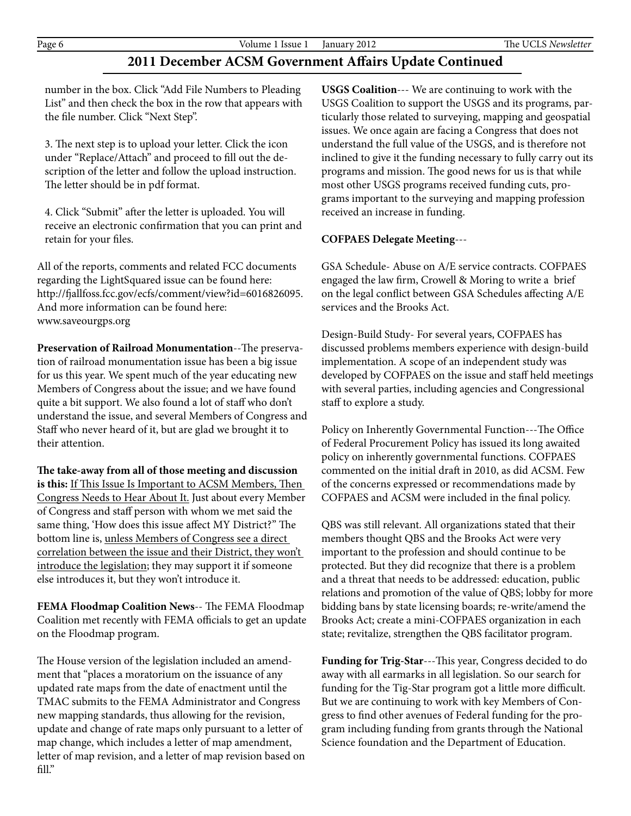# **2011 December ACSM Government Affairs Update Continued**

 number in the box. Click "Add File Numbers to Pleading List" and then check the box in the row that appears with the file number. Click "Next Step".

 3. The next step is to upload your letter. Click the icon under "Replace/Attach" and proceed to fill out the de scription of the letter and follow the upload instruction. The letter should be in pdf format.

 4. Click "Submit" after the letter is uploaded. You will receive an electronic confirmation that you can print and retain for your files.

All of the reports, comments and related FCC documents regarding the LightSquared issue can be found here: http://fjallfoss.fcc.gov/ecfs/comment/view?id=6016826095. And more information can be found here: www.saveourgps.org

**Preservation of Railroad Monumentation**--The preservation of railroad monumentation issue has been a big issue for us this year. We spent much of the year educating new Members of Congress about the issue; and we have found quite a bit support. We also found a lot of staff who don't understand the issue, and several Members of Congress and Staff who never heard of it, but are glad we brought it to their attention.

**The take-away from all of those meeting and discussion is this:** If This Issue Is Important to ACSM Members, Then Congress Needs to Hear About It. Just about every Member of Congress and staff person with whom we met said the same thing, 'How does this issue affect MY District?" The bottom line is, unless Members of Congress see a direct correlation between the issue and their District, they won't introduce the legislation; they may support it if someone else introduces it, but they won't introduce it.

**FEMA Floodmap Coalition News**-- The FEMA Floodmap Coalition met recently with FEMA officials to get an update on the Floodmap program.

The House version of the legislation included an amendment that "places a moratorium on the issuance of any updated rate maps from the date of enactment until the TMAC submits to the FEMA Administrator and Congress new mapping standards, thus allowing for the revision, update and change of rate maps only pursuant to a letter of map change, which includes a letter of map amendment, letter of map revision, and a letter of map revision based on fill."

**USGS Coalition**--- We are continuing to work with the USGS Coalition to support the USGS and its programs, particularly those related to surveying, mapping and geospatial issues. We once again are facing a Congress that does not understand the full value of the USGS, and is therefore not inclined to give it the funding necessary to fully carry out its programs and mission. The good news for us is that while most other USGS programs received funding cuts, programs important to the surveying and mapping profession received an increase in funding.

# **COFPAES Delegate Meeting**---

GSA Schedule- Abuse on A/E service contracts. COFPAES engaged the law firm, Crowell & Moring to write a brief on the legal conflict between GSA Schedules affecting A/E services and the Brooks Act.

Design-Build Study- For several years, COFPAES has discussed problems members experience with design-build implementation. A scope of an independent study was developed by COFPAES on the issue and staff held meetings with several parties, including agencies and Congressional staff to explore a study.

Policy on Inherently Governmental Function---The Office of Federal Procurement Policy has issued its long awaited policy on inherently governmental functions. COFPAES commented on the initial draft in 2010, as did ACSM. Few of the concerns expressed or recommendations made by COFPAES and ACSM were included in the final policy.

QBS was still relevant. All organizations stated that their members thought QBS and the Brooks Act were very important to the profession and should continue to be protected. But they did recognize that there is a problem and a threat that needs to be addressed: education, public relations and promotion of the value of QBS; lobby for more bidding bans by state licensing boards; re-write/amend the Brooks Act; create a mini-COFPAES organization in each state; revitalize, strengthen the QBS facilitator program.

**Funding for Trig-Star**---This year, Congress decided to do away with all earmarks in all legislation. So our search for funding for the Tig-Star program got a little more difficult. But we are continuing to work with key Members of Congress to find other avenues of Federal funding for the program including funding from grants through the National Science foundation and the Department of Education.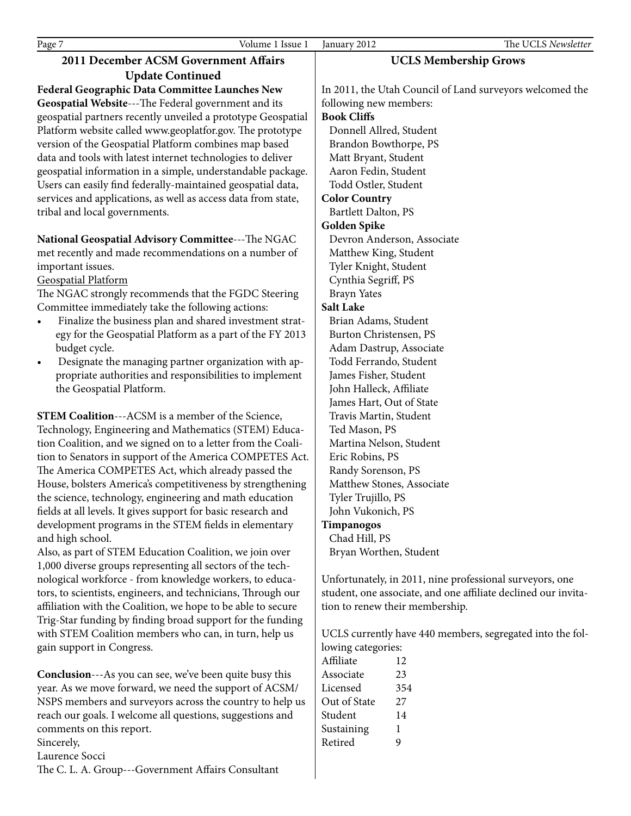Laurence Socci

The C. L. A. Group---Government Affairs Consultant

| <b>Update Continued</b><br>Federal Geographic Data Committee Launches New<br>In 2011, the Utah Council of Land surveyors welcomed the<br>Geospatial Website---The Federal government and its<br>following new members:<br>geospatial partners recently unveiled a prototype Geospatial<br><b>Book Cliffs</b><br>Platform website called www.geoplatfor.gov. The prototype<br>Donnell Allred, Student<br>version of the Geospatial Platform combines map based |                                                                |  |  |  |
|---------------------------------------------------------------------------------------------------------------------------------------------------------------------------------------------------------------------------------------------------------------------------------------------------------------------------------------------------------------------------------------------------------------------------------------------------------------|----------------------------------------------------------------|--|--|--|
|                                                                                                                                                                                                                                                                                                                                                                                                                                                               |                                                                |  |  |  |
|                                                                                                                                                                                                                                                                                                                                                                                                                                                               |                                                                |  |  |  |
|                                                                                                                                                                                                                                                                                                                                                                                                                                                               |                                                                |  |  |  |
|                                                                                                                                                                                                                                                                                                                                                                                                                                                               |                                                                |  |  |  |
|                                                                                                                                                                                                                                                                                                                                                                                                                                                               |                                                                |  |  |  |
|                                                                                                                                                                                                                                                                                                                                                                                                                                                               | Brandon Bowthorpe, PS                                          |  |  |  |
| data and tools with latest internet technologies to deliver                                                                                                                                                                                                                                                                                                                                                                                                   | Matt Bryant, Student                                           |  |  |  |
| Aaron Fedin, Student<br>geospatial information in a simple, understandable package.                                                                                                                                                                                                                                                                                                                                                                           |                                                                |  |  |  |
| Users can easily find federally-maintained geospatial data,<br>Todd Ostler, Student                                                                                                                                                                                                                                                                                                                                                                           |                                                                |  |  |  |
| services and applications, as well as access data from state,<br><b>Color Country</b>                                                                                                                                                                                                                                                                                                                                                                         |                                                                |  |  |  |
| tribal and local governments.                                                                                                                                                                                                                                                                                                                                                                                                                                 | Bartlett Dalton, PS                                            |  |  |  |
| Golden Spike                                                                                                                                                                                                                                                                                                                                                                                                                                                  |                                                                |  |  |  |
| National Geospatial Advisory Committee---The NGAC<br>Devron Anderson, Associate                                                                                                                                                                                                                                                                                                                                                                               |                                                                |  |  |  |
| met recently and made recommendations on a number of<br>Matthew King, Student                                                                                                                                                                                                                                                                                                                                                                                 |                                                                |  |  |  |
| Tyler Knight, Student<br>important issues.                                                                                                                                                                                                                                                                                                                                                                                                                    |                                                                |  |  |  |
| <b>Geospatial Platform</b>                                                                                                                                                                                                                                                                                                                                                                                                                                    | Cynthia Segriff, PS                                            |  |  |  |
| The NGAC strongly recommends that the FGDC Steering<br><b>Brayn Yates</b>                                                                                                                                                                                                                                                                                                                                                                                     |                                                                |  |  |  |
| <b>Salt Lake</b><br>Committee immediately take the following actions:                                                                                                                                                                                                                                                                                                                                                                                         |                                                                |  |  |  |
| Finalize the business plan and shared investment strat-<br>Brian Adams, Student<br>$\bullet$                                                                                                                                                                                                                                                                                                                                                                  |                                                                |  |  |  |
| egy for the Geospatial Platform as a part of the FY 2013<br>Burton Christensen, PS                                                                                                                                                                                                                                                                                                                                                                            |                                                                |  |  |  |
| Adam Dastrup, Associate<br>budget cycle.                                                                                                                                                                                                                                                                                                                                                                                                                      |                                                                |  |  |  |
| Designate the managing partner organization with ap-<br>Todd Ferrando, Student<br>$\bullet$                                                                                                                                                                                                                                                                                                                                                                   |                                                                |  |  |  |
| propriate authorities and responsibilities to implement<br>James Fisher, Student                                                                                                                                                                                                                                                                                                                                                                              |                                                                |  |  |  |
| the Geospatial Platform.<br>John Halleck, Affiliate                                                                                                                                                                                                                                                                                                                                                                                                           |                                                                |  |  |  |
| James Hart, Out of State                                                                                                                                                                                                                                                                                                                                                                                                                                      |                                                                |  |  |  |
| <b>STEM Coalition---ACSM</b> is a member of the Science,<br>Travis Martin, Student                                                                                                                                                                                                                                                                                                                                                                            |                                                                |  |  |  |
| Technology, Engineering and Mathematics (STEM) Educa-<br>Ted Mason, PS                                                                                                                                                                                                                                                                                                                                                                                        |                                                                |  |  |  |
| tion Coalition, and we signed on to a letter from the Coali-<br>Martina Nelson, Student                                                                                                                                                                                                                                                                                                                                                                       |                                                                |  |  |  |
| tion to Senators in support of the America COMPETES Act.<br>Eric Robins, PS                                                                                                                                                                                                                                                                                                                                                                                   |                                                                |  |  |  |
| The America COMPETES Act, which already passed the<br>Randy Sorenson, PS                                                                                                                                                                                                                                                                                                                                                                                      |                                                                |  |  |  |
| House, bolsters America's competitiveness by strengthening                                                                                                                                                                                                                                                                                                                                                                                                    | Matthew Stones, Associate                                      |  |  |  |
| the science, technology, engineering and math education                                                                                                                                                                                                                                                                                                                                                                                                       | Tyler Trujillo, PS                                             |  |  |  |
| fields at all levels. It gives support for basic research and                                                                                                                                                                                                                                                                                                                                                                                                 | John Vukonich, PS                                              |  |  |  |
| development programs in the STEM fields in elementary<br>Timpanogos                                                                                                                                                                                                                                                                                                                                                                                           |                                                                |  |  |  |
| Chad Hill, PS<br>and high school.                                                                                                                                                                                                                                                                                                                                                                                                                             |                                                                |  |  |  |
| Also, as part of STEM Education Coalition, we join over<br>Bryan Worthen, Student                                                                                                                                                                                                                                                                                                                                                                             |                                                                |  |  |  |
| 1,000 diverse groups representing all sectors of the tech-                                                                                                                                                                                                                                                                                                                                                                                                    |                                                                |  |  |  |
| nological workforce - from knowledge workers, to educa-<br>Unfortunately, in 2011, nine professional surveyors, one                                                                                                                                                                                                                                                                                                                                           |                                                                |  |  |  |
| tors, to scientists, engineers, and technicians, Through our                                                                                                                                                                                                                                                                                                                                                                                                  | student, one associate, and one affiliate declined our invita- |  |  |  |
| affiliation with the Coalition, we hope to be able to secure                                                                                                                                                                                                                                                                                                                                                                                                  | tion to renew their membership.                                |  |  |  |
| Trig-Star funding by finding broad support for the funding                                                                                                                                                                                                                                                                                                                                                                                                    |                                                                |  |  |  |
| with STEM Coalition members who can, in turn, help us<br>UCLS currently have 440 members, segregated into the fol-                                                                                                                                                                                                                                                                                                                                            |                                                                |  |  |  |
| gain support in Congress.<br>lowing categories:                                                                                                                                                                                                                                                                                                                                                                                                               |                                                                |  |  |  |
| Affiliate<br>12                                                                                                                                                                                                                                                                                                                                                                                                                                               |                                                                |  |  |  |
| Associate<br><b>Conclusion</b> ---As you can see, we've been quite busy this<br>23                                                                                                                                                                                                                                                                                                                                                                            |                                                                |  |  |  |
| year. As we move forward, we need the support of ACSM/<br>Licensed<br>354                                                                                                                                                                                                                                                                                                                                                                                     |                                                                |  |  |  |
| NSPS members and surveyors across the country to help us<br>Out of State<br>27                                                                                                                                                                                                                                                                                                                                                                                |                                                                |  |  |  |
| reach our goals. I welcome all questions, suggestions and<br>Student<br>14                                                                                                                                                                                                                                                                                                                                                                                    |                                                                |  |  |  |
| comments on this report.<br>Sustaining<br>1                                                                                                                                                                                                                                                                                                                                                                                                                   |                                                                |  |  |  |
| Sincerely,<br>Retired<br>9                                                                                                                                                                                                                                                                                                                                                                                                                                    |                                                                |  |  |  |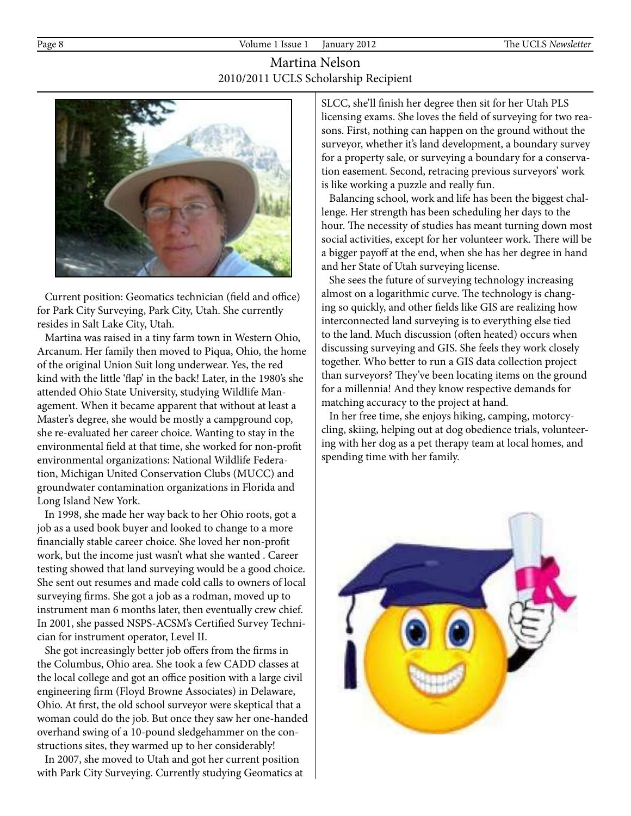# Martina Nelson 2010/2011 UCLS Scholarship Recipient



 Current position: Geomatics technician (field and office) for Park City Surveying, Park City, Utah. She currently resides in Salt Lake City, Utah.

 Martina was raised in a tiny farm town in Western Ohio, Arcanum. Her family then moved to Piqua, Ohio, the home of the original Union Suit long underwear. Yes, the red kind with the little 'flap' in the back! Later, in the 1980's she attended Ohio State University, studying Wildlife Management. When it became apparent that without at least a Master's degree, she would be mostly a campground cop, she re-evaluated her career choice. Wanting to stay in the environmental field at that time, she worked for non-profit environmental organizations: National Wildlife Federation, Michigan United Conservation Clubs (MUCC) and groundwater contamination organizations in Florida and Long Island New York.

 In 1998, she made her way back to her Ohio roots, got a job as a used book buyer and looked to change to a more financially stable career choice. She loved her non-profit work, but the income just wasn't what she wanted . Career testing showed that land surveying would be a good choice. She sent out resumes and made cold calls to owners of local surveying firms. She got a job as a rodman, moved up to instrument man 6 months later, then eventually crew chief. In 2001, she passed NSPS-ACSM's Certified Survey Technician for instrument operator, Level II.

 She got increasingly better job offers from the firms in the Columbus, Ohio area. She took a few CADD classes at the local college and got an office position with a large civil engineering firm (Floyd Browne Associates) in Delaware, Ohio. At first, the old school surveyor were skeptical that a woman could do the job. But once they saw her one-handed overhand swing of a 10-pound sledgehammer on the constructions sites, they warmed up to her considerably!

 In 2007, she moved to Utah and got her current position with Park City Surveying. Currently studying Geomatics at SLCC, she'll finish her degree then sit for her Utah PLS licensing exams. She loves the field of surveying for two reasons. First, nothing can happen on the ground without the surveyor, whether it's land development, a boundary survey for a property sale, or surveying a boundary for a conservation easement. Second, retracing previous surveyors' work is like working a puzzle and really fun.

 Balancing school, work and life has been the biggest challenge. Her strength has been scheduling her days to the hour. The necessity of studies has meant turning down most social activities, except for her volunteer work. There will be a bigger payoff at the end, when she has her degree in hand and her State of Utah surveying license.

 She sees the future of surveying technology increasing almost on a logarithmic curve. The technology is changing so quickly, and other fields like GIS are realizing how interconnected land surveying is to everything else tied to the land. Much discussion (often heated) occurs when discussing surveying and GIS. She feels they work closely together. Who better to run a GIS data collection project than surveyors? They've been locating items on the ground for a millennia! And they know respective demands for matching accuracy to the project at hand.

 In her free time, she enjoys hiking, camping, motorcycling, skiing, helping out at dog obedience trials, volunteering with her dog as a pet therapy team at local homes, and spending time with her family.

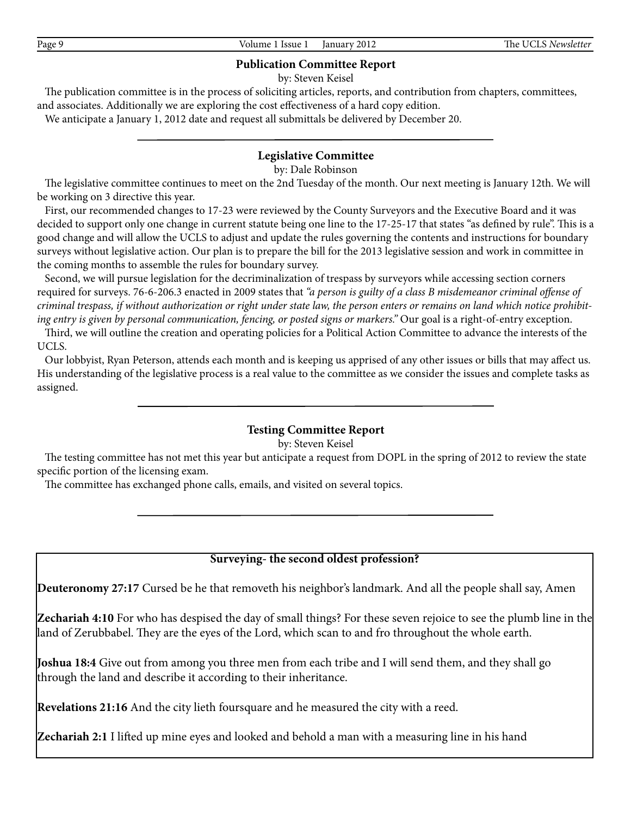#### **Publication Committee Report**

by: Steven Keisel

 The publication committee is in the process of soliciting articles, reports, and contribution from chapters, committees, and associates. Additionally we are exploring the cost effectiveness of a hard copy edition.

We anticipate a January 1, 2012 date and request all submittals be delivered by December 20.

# **Legislative Committee**

by: Dale Robinson

 The legislative committee continues to meet on the 2nd Tuesday of the month. Our next meeting is January 12th. We will be working on 3 directive this year.

 First, our recommended changes to 17-23 were reviewed by the County Surveyors and the Executive Board and it was decided to support only one change in current statute being one line to the 17-25-17 that states "as defined by rule". This is a good change and will allow the UCLS to adjust and update the rules governing the contents and instructions for boundary surveys without legislative action. Our plan is to prepare the bill for the 2013 legislative session and work in committee in the coming months to assemble the rules for boundary survey.

 Second, we will pursue legislation for the decriminalization of trespass by surveyors while accessing section corners required for surveys. 76-6-206.3 enacted in 2009 states that *"a person is guilty of a class B misdemeanor criminal offense of criminal trespass, if without authorization or right under state law, the person enters or remains on land which notice prohibiting entry is given by personal communication, fencing, or posted signs or markers."* Our goal is a right-of-entry exception.

 Third, we will outline the creation and operating policies for a Political Action Committee to advance the interests of the UCLS.

 Our lobbyist, Ryan Peterson, attends each month and is keeping us apprised of any other issues or bills that may affect us. His understanding of the legislative process is a real value to the committee as we consider the issues and complete tasks as assigned.

#### **Testing Committee Report**

by: Steven Keisel

 The testing committee has not met this year but anticipate a request from DOPL in the spring of 2012 to review the state specific portion of the licensing exam.

The committee has exchanged phone calls, emails, and visited on several topics.

#### **Surveying- the second oldest profession?**

**Deuteronomy 27:17** Cursed be he that removeth his neighbor's landmark. And all the people shall say, Amen

**Zechariah 4:10** For who has despised the day of small things? For these seven rejoice to see the plumb line in the land of Zerubbabel. They are the eyes of the Lord, which scan to and fro throughout the whole earth.

**Joshua 18:4** Give out from among you three men from each tribe and I will send them, and they shall go through the land and describe it according to their inheritance.

**Revelations 21:16** And the city lieth foursquare and he measured the city with a reed.

**Zechariah 2:1** I lifted up mine eyes and looked and behold a man with a measuring line in his hand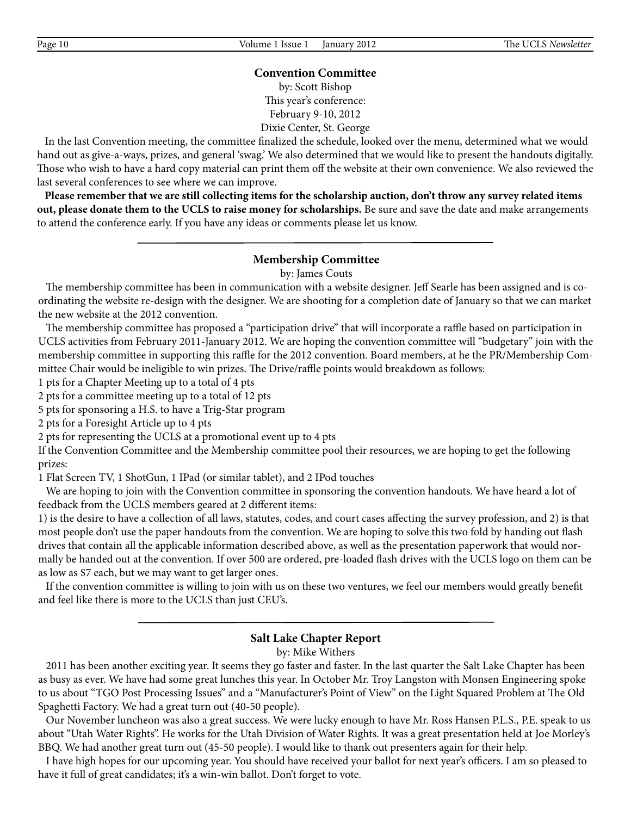# **Convention Committee**

by: Scott Bishop This year's conference: February 9-10, 2012 Dixie Center, St. George

 In the last Convention meeting, the committee finalized the schedule, looked over the menu, determined what we would hand out as give-a-ways, prizes, and general 'swag.' We also determined that we would like to present the handouts digitally. Those who wish to have a hard copy material can print them off the website at their own convenience. We also reviewed the last several conferences to see where we can improve.

 **Please remember that we are still collecting items for the scholarship auction, don't throw any survey related items out, please donate them to the UCLS to raise money for scholarships.** Be sure and save the date and make arrangements to attend the conference early. If you have any ideas or comments please let us know.

#### **Membership Committee**

by: James Couts

 The membership committee has been in communication with a website designer. Jeff Searle has been assigned and is coordinating the website re-design with the designer. We are shooting for a completion date of January so that we can market the new website at the 2012 convention.

 The membership committee has proposed a "participation drive" that will incorporate a raffle based on participation in UCLS activities from February 2011-January 2012. We are hoping the convention committee will "budgetary" join with the membership committee in supporting this raffle for the 2012 convention. Board members, at he the PR/Membership Committee Chair would be ineligible to win prizes. The Drive/raffle points would breakdown as follows:

1 pts for a Chapter Meeting up to a total of 4 pts

2 pts for a committee meeting up to a total of 12 pts

5 pts for sponsoring a H.S. to have a Trig-Star program

2 pts for a Foresight Article up to 4 pts

2 pts for representing the UCLS at a promotional event up to 4 pts

If the Convention Committee and the Membership committee pool their resources, we are hoping to get the following prizes:

1 Flat Screen TV, 1 ShotGun, 1 IPad (or similar tablet), and 2 IPod touches

 We are hoping to join with the Convention committee in sponsoring the convention handouts. We have heard a lot of feedback from the UCLS members geared at 2 different items:

1) is the desire to have a collection of all laws, statutes, codes, and court cases affecting the survey profession, and 2) is that most people don't use the paper handouts from the convention. We are hoping to solve this two fold by handing out flash drives that contain all the applicable information described above, as well as the presentation paperwork that would normally be handed out at the convention. If over 500 are ordered, pre-loaded flash drives with the UCLS logo on them can be as low as \$7 each, but we may want to get larger ones.

 If the convention committee is willing to join with us on these two ventures, we feel our members would greatly benefit and feel like there is more to the UCLS than just CEU's.

# **Salt Lake Chapter Report**

by: Mike Withers

 2011 has been another exciting year. It seems they go faster and faster. In the last quarter the Salt Lake Chapter has been as busy as ever. We have had some great lunches this year. In October Mr. Troy Langston with Monsen Engineering spoke to us about "TGO Post Processing Issues" and a "Manufacturer's Point of View" on the Light Squared Problem at The Old Spaghetti Factory. We had a great turn out (40-50 people).

 Our November luncheon was also a great success. We were lucky enough to have Mr. Ross Hansen P.L.S., P.E. speak to us about "Utah Water Rights". He works for the Utah Division of Water Rights. It was a great presentation held at Joe Morley's BBQ. We had another great turn out (45-50 people). I would like to thank out presenters again for their help.

 I have high hopes for our upcoming year. You should have received your ballot for next year's officers. I am so pleased to have it full of great candidates; it's a win-win ballot. Don't forget to vote.